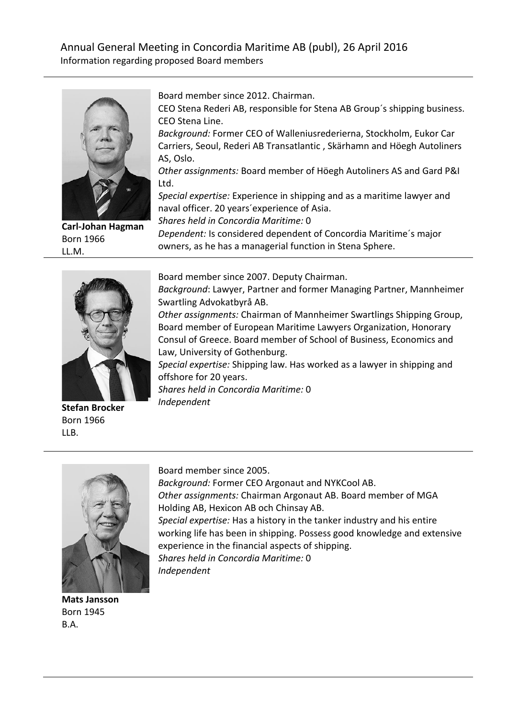## Annual General Meeting in Concordia Maritime AB (publ), 26 April 2016 Information regarding proposed Board members



**Carl-Johan Hagman** Born 1966 LL.M.

Board member since 2012. Chairman.

CEO Stena Rederi AB, responsible for Stena AB Group´s shipping business. CEO Stena Line.

*Background:* Former CEO of Walleniusrederierna, Stockholm, Eukor Car Carriers, Seoul, Rederi AB Transatlantic , Skärhamn and Höegh Autoliners AS, Oslo.

*Other assignments:* Board member of Höegh Autoliners AS and Gard P&I Ltd.

*Special expertise:* Experience in shipping and as a maritime lawyer and naval officer. 20 years´experience of Asia.

*Shares held in Concordia Maritime:* 0

*Dependent:* Is considered dependent of Concordia Maritime´s major owners, as he has a managerial function in Stena Sphere.



Born 1966

LLB.

Board member since 2007. Deputy Chairman.

*Background*: Lawyer, Partner and former Managing Partner, Mannheimer Swartling Advokatbyrå AB.

*Other assignments:* Chairman of Mannheimer Swartlings Shipping Group, Board member of European Maritime Lawyers Organization, Honorary Consul of Greece. Board member of School of Business, Economics and Law, University of Gothenburg.

*Special expertise:* Shipping law. Has worked as a lawyer in shipping and offshore for 20 years.

*Shares held in Concordia Maritime:* 0 *Independent*



**Mats Jansson** Born 1945 B.A.

Board member since 2005.

*Background:* Former CEO Argonaut and NYKCool AB.

*Other assignments:* Chairman Argonaut AB. Board member of MGA Holding AB, Hexicon AB och Chinsay AB.

*Special expertise:* Has a history in the tanker industry and his entire working life has been in shipping. Possess good knowledge and extensive experience in the financial aspects of shipping. *Shares held in Concordia Maritime:* 0

*Independent*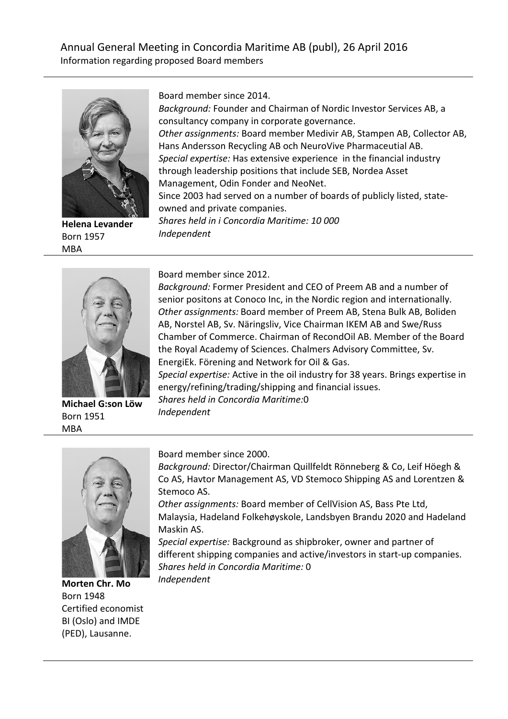## Annual General Meeting in Concordia Maritime AB (publ), 26 April 2016 Information regarding proposed Board members



**Helena Levander** Born 1957 MBA

Board member since 2014.

*Background:* Founder and Chairman of Nordic Investor Services AB, a consultancy company in corporate governance. *Other assignments:* Board member Medivir AB, Stampen AB, Collector AB, Hans Andersson Recycling AB och NeuroVive Pharmaceutial AB. *Special expertise:* Has extensive experience in the financial industry through leadership positions that include SEB, Nordea Asset Management, Odin Fonder and NeoNet. Since 2003 had served on a number of boards of publicly listed, stateowned and private companies. *Shares held in i Concordia Maritime: 10 000 Independent*



**Michael G:son Löw** Born 1951 MBA

Board member since 2012.

*Background:* Former President and CEO of Preem AB and a number of senior positons at Conoco Inc, in the Nordic region and internationally. *Other assignments:* Board member of Preem AB, Stena Bulk AB, Boliden AB, Norstel AB, Sv. Näringsliv, Vice Chairman IKEM AB and Swe/Russ Chamber of Commerce. Chairman of RecondOil AB. Member of the Board the Royal Academy of Sciences. Chalmers Advisory Committee, Sv. EnergiEk. Förening and Network for Oil & Gas. *Special expertise:* Active in the oil industry for 38 years. Brings expertise in energy/refining/trading/shipping and financial issues. *Shares held in Concordia Maritime:*0 *Independent*



**Morten Chr. Mo** Born 1948 Certified economist BI (Oslo) and IMDE (PED), Lausanne.

Board member since 2000.

*Background:* Director/Chairman Quillfeldt Rönneberg & Co, Leif Höegh & Co AS, Havtor Management AS, VD Stemoco Shipping AS and Lorentzen & Stemoco AS.

*Other assignments:* Board member of CellVision AS, Bass Pte Ltd, Malaysia, Hadeland Folkehøyskole, Landsbyen Brandu 2020 and Hadeland Maskin AS.

*Special expertise:* Background as shipbroker, owner and partner of different shipping companies and active/investors in start-up companies. *Shares held in Concordia Maritime:* 0 *Independent*